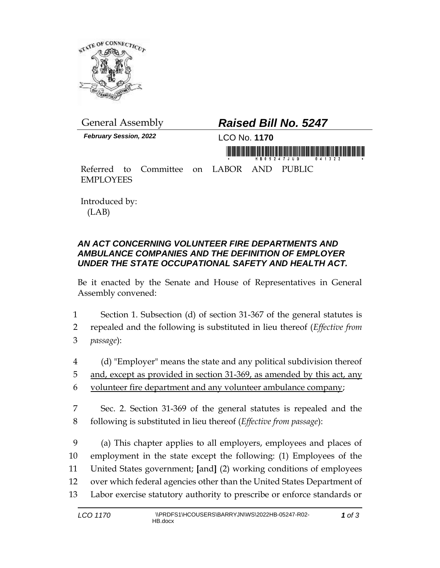

*February Session, 2022* LCO No. **1170**

## General Assembly *Raised Bill No. 5247*

a matanta din farika dan bari dan baru dan bari da dari bai ban tan an matan ta

Referred to Committee on LABOR AND PUBLIC EMPLOYEES

Introduced by: (LAB)

## *AN ACT CONCERNING VOLUNTEER FIRE DEPARTMENTS AND AMBULANCE COMPANIES AND THE DEFINITION OF EMPLOYER UNDER THE STATE OCCUPATIONAL SAFETY AND HEALTH ACT.*

Be it enacted by the Senate and House of Representatives in General Assembly convened:

- 1 Section 1. Subsection (d) of section 31-367 of the general statutes is
- 2 repealed and the following is substituted in lieu thereof (*Effective from*  3 *passage*):
- 4 (d) "Employer" means the state and any political subdivision thereof 5 and, except as provided in section 31-369, as amended by this act, any 6 volunteer fire department and any volunteer ambulance company;
- 7 Sec. 2. Section 31-369 of the general statutes is repealed and the 8 following is substituted in lieu thereof (*Effective from passage*):

 (a) This chapter applies to all employers, employees and places of employment in the state except the following: (1) Employees of the United States government; **[**and**]** (2) working conditions of employees over which federal agencies other than the United States Department of Labor exercise statutory authority to prescribe or enforce standards or